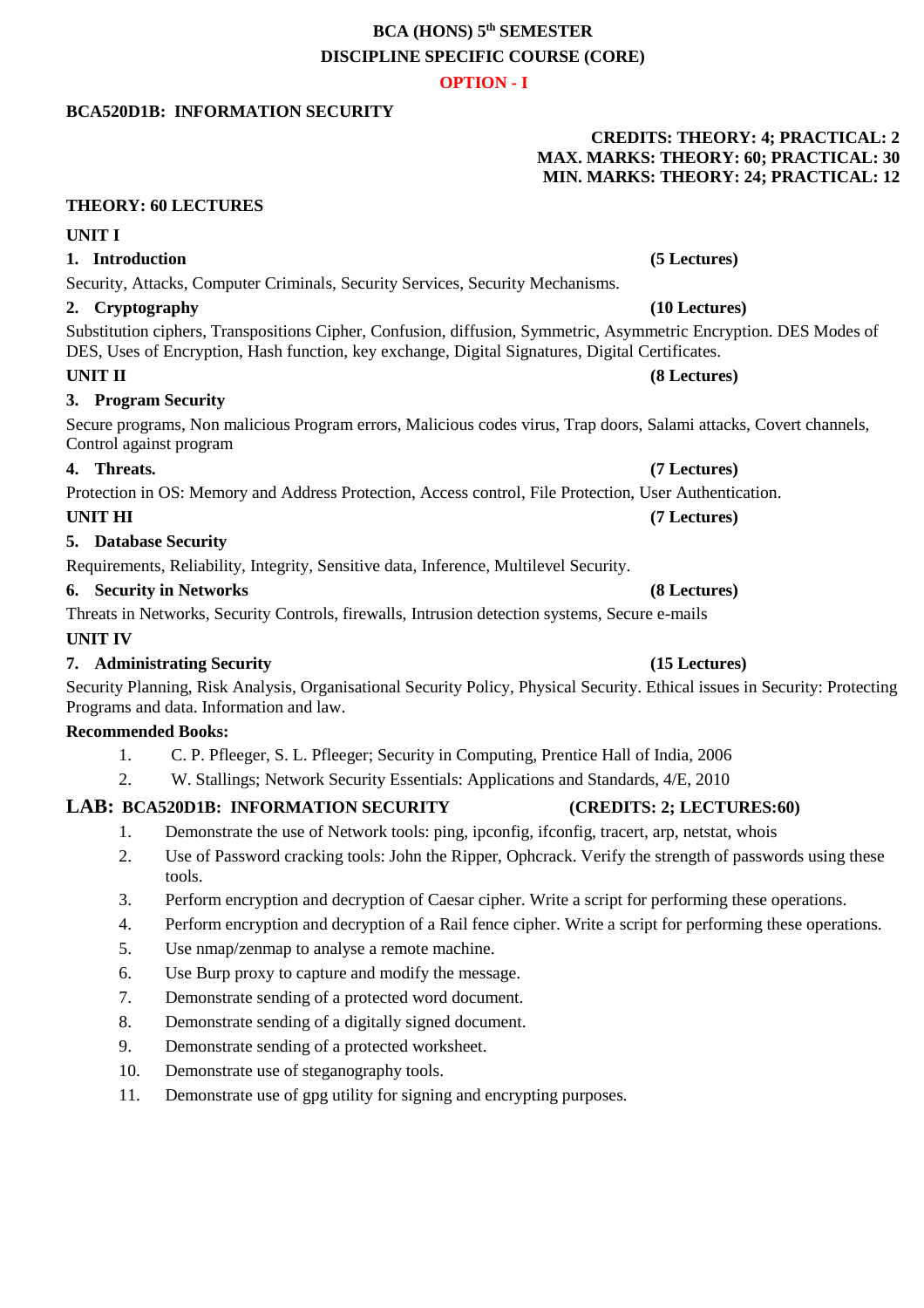# **BCA (HONS) 5 th SEMESTER DISCIPLINE SPECIFIC COURSE (CORE)**

# **OPTION - I**

# **BCA520D1B: INFORMATION SECURITY**

# **CREDITS: THEORY: 4; PRACTICAL: 2 MAX. MARKS: THEORY: 60; PRACTICAL: 30 MIN. MARKS: THEORY: 24; PRACTICAL: 12**

# **THEORY: 60 LECTURES**

# **UNIT I**

# **1. Introduction (5 Lectures)**

# Security, Attacks, Computer Criminals, Security Services, Security Mechanisms.

# **2. Cryptography (10 Lectures)**

Substitution ciphers, Transpositions Cipher, Confusion, diffusion, Symmetric, Asymmetric Encryption. DES Modes of DES, Uses of Encryption, Hash function, key exchange, Digital Signatures, Digital Certificates.

## **UNIT II (8 Lectures)**

## **3. Program Security**

Secure programs, Non malicious Program errors, Malicious codes virus, Trap doors, Salami attacks, Covert channels, Control against program

## **4. Threats. (7 Lectures)**

Protection in OS: Memory and Address Protection, Access control, File Protection, User Authentication.

## **UNIT HI (7 Lectures)**

**5. Database Security**

Requirements, Reliability, Integrity, Sensitive data, Inference, Multilevel Security.

## **6. Security in Networks (8 Lectures)**

Threats in Networks, Security Controls, firewalls, Intrusion detection systems, Secure e-mails

## **UNIT IV**

## **7. Administrating Security (15 Lectures)**

Security Planning, Risk Analysis, Organisational Security Policy, Physical Security. Ethical issues in Security: Protecting Programs and data. Information and law.

## **Recommended Books:**

- 1. C. P. Pfleeger, S. L. Pfleeger; Security in Computing, Prentice Hall of India, 2006
- 2. W. Stallings; Network Security Essentials: Applications and Standards, 4/E, 2010

## **LAB: BCA520D1B: INFORMATION SECURITY (CREDITS: 2; LECTURES:60)**

- 1. Demonstrate the use of Network tools: ping, ipconfig, ifconfig, tracert, arp, netstat, whois
- 2. Use of Password cracking tools: John the Ripper, Ophcrack. Verify the strength of passwords using these tools.
- 3. Perform encryption and decryption of Caesar cipher. Write a script for performing these operations.
- 4. Perform encryption and decryption of a Rail fence cipher. Write a script for performing these operations.
- 5. Use nmap/zenmap to analyse a remote machine.
- 6. Use Burp proxy to capture and modify the message.
- 7. Demonstrate sending of a protected word document.
- 8. Demonstrate sending of a digitally signed document.
- 9. Demonstrate sending of a protected worksheet.
- 10. Demonstrate use of steganography tools.
- 11. Demonstrate use of gpg utility for signing and encrypting purposes.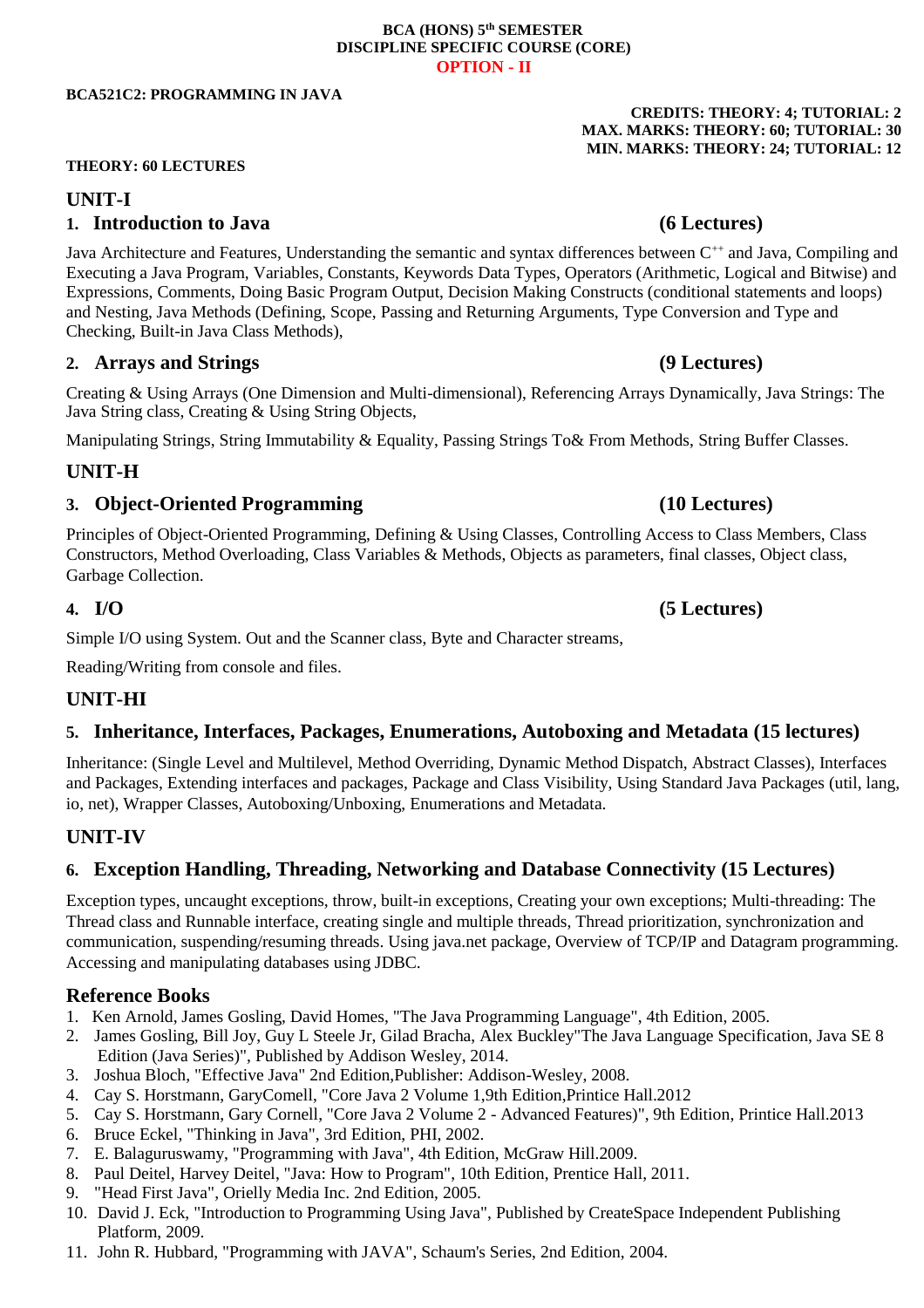### **BCA (HONS) 5 th SEMESTER DISCIPLINE SPECIFIC COURSE (CORE) OPTION - II**

### **BCA521C2: PROGRAMMING IN JAVA**

### **THEORY: 60 LECTURES**

## **UNIT-I**

## **1. Introduction to Java (6 Lectures)**

Java Architecture and Features, Understanding the semantic and syntax differences between C<sup>++</sup> and Java, Compiling and Executing a Java Program, Variables, Constants, Keywords Data Types, Operators (Arithmetic, Logical and Bitwise) and Expressions, Comments, Doing Basic Program Output, Decision Making Constructs (conditional statements and loops) and Nesting, Java Methods (Defining, Scope, Passing and Returning Arguments, Type Conversion and Type and Checking, Built-in Java Class Methods),

## **2. Arrays and Strings (9 Lectures)**

Creating & Using Arrays (One Dimension and Multi-dimensional), Referencing Arrays Dynamically, Java Strings: The Java String class, Creating & Using String Objects,

Manipulating Strings, String Immutability & Equality, Passing Strings To& From Methods, String Buffer Classes.

## **UNIT-H**

## **3. Object-Oriented Programming (10 Lectures)**

Principles of Object-Oriented Programming, Defining & Using Classes, Controlling Access to Class Members, Class Constructors, Method Overloading, Class Variables & Methods, Objects as parameters, final classes, Object class, Garbage Collection.

## **4. I/O (5 Lectures)**

Simple I/O using System. Out and the Scanner class, Byte and Character streams,

Reading/Writing from console and files.

## **UNIT-HI**

## **5. Inheritance, Interfaces, Packages, Enumerations, Autoboxing and Metadata (15 lectures)**

Inheritance: (Single Level and Multilevel, Method Overriding, Dynamic Method Dispatch, Abstract Classes), Interfaces and Packages, Extending interfaces and packages, Package and Class Visibility, Using Standard Java Packages (util, lang, io, net), Wrapper Classes, Autoboxing/Unboxing, Enumerations and Metadata.

## **UNIT-IV**

# **6. Exception Handling, Threading, Networking and Database Connectivity (15 Lectures)**

Exception types, uncaught exceptions, throw, built-in exceptions, Creating your own exceptions; Multi-threading: The Thread class and Runnable interface, creating single and multiple threads, Thread prioritization, synchronization and communication, suspending/resuming threads. Using java.net package, Overview of TCP/IP and Datagram programming. Accessing and manipulating databases using JDBC.

## **Reference Books**

- 1. Ken Arnold, James Gosling, David Homes, "The Java Programming Language", 4th Edition, 2005.
- 2. James Gosling, Bill Joy, Guy L Steele Jr, Gilad Bracha, Alex Buckley"The Java Language Specification, Java SE 8 Edition (Java Series)", Published by Addison Wesley, 2014.
- 3. Joshua Bloch, "Effective Java" 2nd Edition,Publisher: Addison-Wesley, 2008.
- 4. Cay S. Horstmann, GaryComell, "Core Java 2 Volume 1,9th Edition,Printice Hall.2012
- 5. Cay S. Horstmann, Gary Cornell, "Core Java 2 Volume 2 Advanced Features)", 9th Edition, Printice Hall.2013
- 6. Bruce Eckel, "Thinking in Java", 3rd Edition, PHI, 2002.
- 7. E. Balaguruswamy, "Programming with Java", 4th Edition, McGraw Hill.2009.
- 8. Paul Deitel, Harvey Deitel, "Java: How to Program", 10th Edition, Prentice Hall, 2011.
- 9. "Head First Java", Orielly Media Inc. 2nd Edition, 2005.
- 10. David J. Eck, "Introduction to Programming Using Java", Published by CreateSpace Independent Publishing Platform, 2009.
- 11. John R. Hubbard, "Programming with JAVA", Schaum's Series, 2nd Edition, 2004.

# **MAX. MARKS: THEORY: 60; TUTORIAL: 30 MIN. MARKS: THEORY: 24; TUTORIAL: 12**

**CREDITS: THEORY: 4; TUTORIAL: 2**